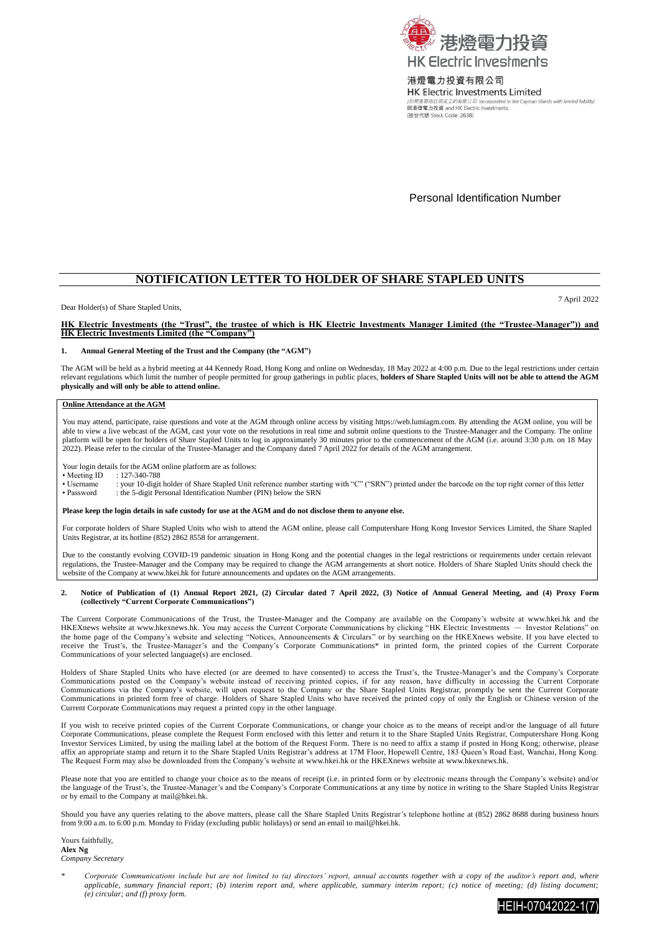

港燈電力投資有限公司 **HK Electric Investments Limited** lands with limited liability. (於開曼群島註冊成立的有限公司 Incorporated in the (股份代號 Stock Code: 2638)

Personal Identification Number

## **NOTIFICATION LETTER TO HOLDER OF SHARE STAPLED UNITS**

Dear Holder(s) of Share Stapled Units,

7 April 2022

# **HK Electric Investments (the "Trust", the trustee of which is HK Electric Investments Manager Limited (the "Trustee-Manager")) and HK Electric Investments Limited (the "Company")**

## **1. Annual General Meeting of the Trust and the Company (the "AGM")**

The AGM will be held as a hybrid meeting at 44 Kennedy Road, Hong Kong and online on Wednesday, 18 May 2022 at 4:00 p.m. Due to the legal restrictions under certain<br>relevant regulations which limit the number of people per **physically and will only be able to attend online.**

## **Online Attendance at the AGM**

You may attend, participate, raise questions and vote at the AGM through online access by visitin[g https://web.lumiagm.com.](https://web.lumiagm.com/) By attending the AGM online, you will be able to view a live webcast of the AGM, cast your vote on the resolutions in real time and submit online questions to the Trustee-Manager and the Company. The online platform will be open for holders of Share Stapled Units to log in approximately 30 minutes prior to the commencement of the AGM (i.e. around 3:30 p.m. on 18 May<br>2022). Please refer to the circular of the Trustee-Manager a

Your login details for the AGM online platform are as follows:<br>• Meeting ID : 127-340-788

• Meeting ID :  $127-340-788$ <br>• Username : your 10-digit

: your 10-digit holder of Share Stapled Unit reference number starting with "C" ("SRN") printed under the barcode on the top right corner of this letter

• Password : the 5-digit Personal Identification Number (PIN) below the SRN

#### **Please keep the login details in safe custody for use at the AGM and do not disclose them to anyone else.**

For corporate holders of Share Stapled Units who wish to attend the AGM online, please call Computershare Hong Kong Investor Services Limited, the Share Stapled Units Registrar, at its hotline (852) 2862 8558 for arrangement.

Due to the constantly evolving COVID-19 pandemic situation in Hong Kong and the potential changes in the legal restrictions or requirements under certain relevant regulations, the Trustee-Manager and the Company may be required to change the AGM arrangements at short notice. Holders of Share Stapled Units should check the website of the Company a[t www.hkei.hk](http://www.hkei.hk/) for future announcements and updates on the AGM arrangements.

## **2. Notice of Publication of (1) Annual Report 2021, (2) Circular dated 7 April 2022, (3) Notice of Annual General Meeting, and (4) Proxy Form (collectively "Current Corporate Communications")**

The Current Corporate Communications of the Trust, the Trustee-Manager and the Company are available on the Company's website at [www.hkei.hk](http://www.hkei.hk/) and the HKEXnews website a[t www.hkexnews.hk.](http://www.hkexnews.hk/) You may access the Current Corporate Communications by clicking "HK Electric Investments — Investor Relations" on the home page of the Company's website and selecting "Notices, Announcements & Circulars" or by searching on the HKEXnews website. If you have elected to receive the Trust's, the Trustee-Manager's and the Company's Corporate Communications\* in printed form, the printed copies of the Current Corporate Communications of your selected language(s) are enclosed.

Holders of Share Stapled Units who have elected (or are deemed to have consented) to access the Trust's, the Trustee-Manager's and the Company's Corporate Communications posted on the Company's website instead of receiving printed copies, if for any reason, have difficulty in accessing the Current Corporate Communications via the Company's website, will upon request to the Company or the Share Stapled Units Registrar, promptly be sent the Current Corporate Communications in printed form free of charge. Holders of Share Stapled Units who have received the printed copy of only the English or Chinese version of the Current Corporate Communications may request a printed copy in the other language.

If you wish to receive printed copies of the Current Corporate Communications, or change your choice as to the means of receipt and/or the language of all future Corporate Communications, please complete the Request Form enclosed with this letter and return it to the Share Stapled Units Registrar, Computershare Hong Kong Investor Services Limited, by using the mailing label at the bottom of the Request Form. There is no need to affix a stamp if posted in Hong Kong; otherwise, please affix an appropriate stamp and return it to the Share Stapled Units Registrar's address at 17M Floor, Hopewell Centre, 183 Queen's Road East, Wanchai, Hong Kong. The Request Form may also be downloaded from the Company's website at [www.hkei.hk](http://www.hkei.hk/) or the HKEXnews website a[t www.hkexnews.hk.](http://www.hkexnews.hk/)

Please note that you are entitled to change your choice as to the means of receipt (i.e. in printed form or by electronic means through the Company's website) and/or the language of the Trust's, the Trustee-Manager's and the Company's Corporate Communications at any time by notice in writing to the Share Stapled Units Registrar or by email to the Company at [mail@hkei.hk.](mailto:mail@hkei.hk)

Should you have any queries relating to the above matters, please call the Share Stapled Units Registrar's telephone hotline at (852) 2862 8688 during business hours from 9:00 a.m. to 6:00 p.m. Monday to Friday (excluding public holidays) or send an email t[o mail@hkei.hk.](mailto:mail@hkei.hk)

Yours faithfully, **Alex Ng** *Company Secretary*

*\* Corporate Communications include but are not limited to (a) directors' report, annual accounts together with a copy of the auditor's report and, where applicable, summary financial report; (b) interim report and, where applicable, summary interim report; (c) notice of meeting; (d) listing document; (e) circular; and (f) proxy form.*